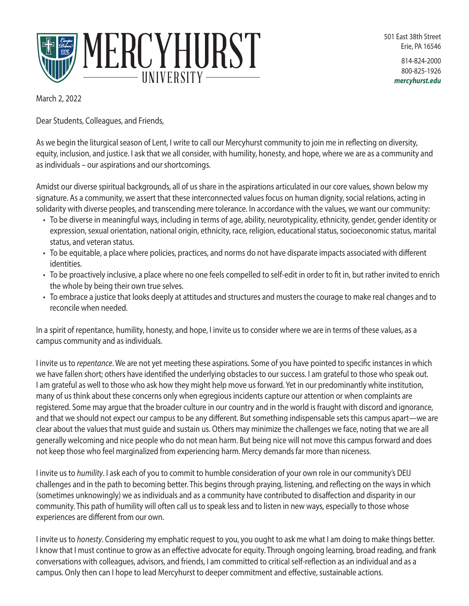



814-824-2000 800-825-1926 *mercyhurst.edu*

March 2, 2022

Dear Students, Colleagues, and Friends,

As we begin the liturgical season of Lent, I write to call our Mercyhurst community to join me in reflecting on diversity, equity, inclusion, and justice. I ask that we all consider, with humility, honesty, and hope, where we are as a community and as individuals – our aspirations and our shortcomings.

Amidst our diverse spiritual backgrounds, all of us share in the aspirations articulated in our core values, shown below my signature. As a community, we assert that these interconnected values focus on human dignity, social relations, acting in solidarity with diverse peoples, and transcending mere tolerance. In accordance with the values, we want our community:

- To be diverse in meaningful ways, including in terms of age, ability, neurotypicality, ethnicity, gender, gender identity or expression, sexual orientation, national origin, ethnicity, race, religion, educational status, socioeconomic status, marital status, and veteran status.
- To be equitable, a place where policies, practices, and norms do not have disparate impacts associated with different identities.
- To be proactively inclusive, a place where no one feels compelled to self-edit in order to fit in, but rather invited to enrich the whole by being their own true selves.
- To embrace a justice that looks deeply at attitudes and structures and musters the courage to make real changes and to reconcile when needed.

In a spirit of repentance, humility, honesty, and hope, I invite us to consider where we are in terms of these values, as a campus community and as individuals.

I invite us to *repentance*. We are not yet meeting these aspirations. Some of you have pointed to specific instances in which we have fallen short; others have identified the underlying obstacles to our success. I am grateful to those who speak out. I am grateful as well to those who ask how they might help move us forward. Yet in our predominantly white institution, many of us think about these concerns only when egregious incidents capture our attention or when complaints are registered. Some may argue that the broader culture in our country and in the world is fraught with discord and ignorance, and that we should not expect our campus to be any different. But something indispensable sets this campus apart—we are clear about the values that must guide and sustain us. Others may minimize the challenges we face, noting that we are all generally welcoming and nice people who do not mean harm. But being nice will not move this campus forward and does not keep those who feel marginalized from experiencing harm. Mercy demands far more than niceness.

I invite us to *humility*. I ask each of you to commit to humble consideration of your own role in our community's DEIJ challenges and in the path to becoming better. This begins through praying, listening, and reflecting on the ways in which (sometimes unknowingly) we as individuals and as a community have contributed to disaffection and disparity in our community. This path of humility will often call us to speak less and to listen in new ways, especially to those whose experiences are different from our own.

I invite us to *honesty*. Considering my emphatic request to you, you ought to ask me what I am doing to make things better. I know that I must continue to grow as an effective advocate for equity. Through ongoing learning, broad reading, and frank conversations with colleagues, advisors, and friends, I am committed to critical self-reflection as an individual and as a campus. Only then can I hope to lead Mercyhurst to deeper commitment and effective, sustainable actions.